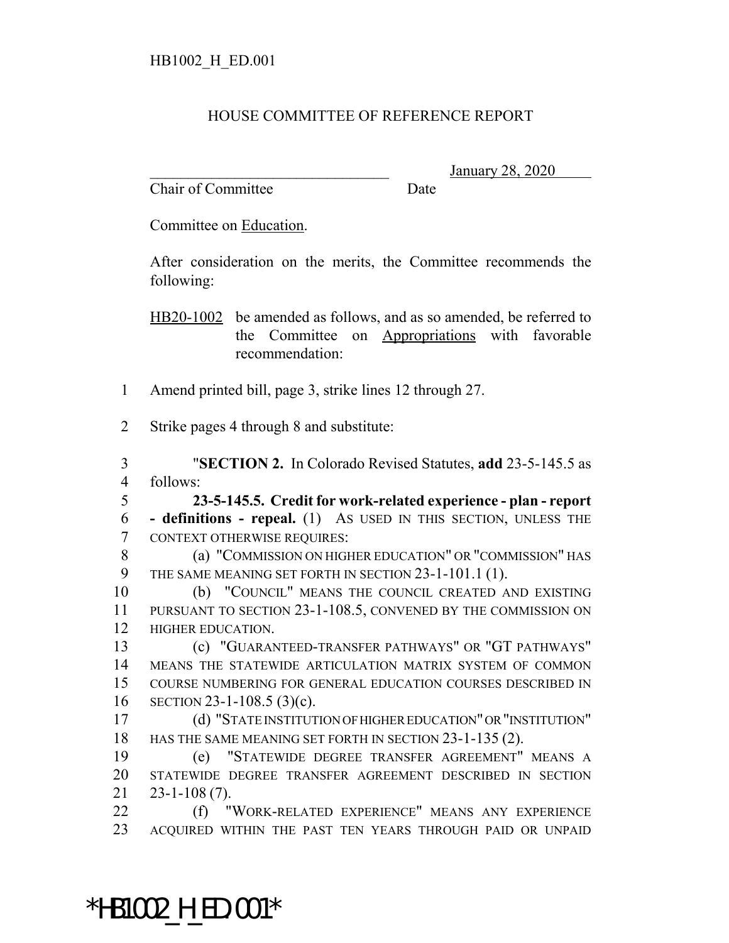## HOUSE COMMITTEE OF REFERENCE REPORT

Chair of Committee Date

\_\_\_\_\_\_\_\_\_\_\_\_\_\_\_\_\_\_\_\_\_\_\_\_\_\_\_\_\_\_\_ January 28, 2020

Committee on Education.

After consideration on the merits, the Committee recommends the following:

HB20-1002 be amended as follows, and as so amended, be referred to the Committee on Appropriations with favorable recommendation:

Amend printed bill, page 3, strike lines 12 through 27.

Strike pages 4 through 8 and substitute:

 "**SECTION 2.** In Colorado Revised Statutes, **add** 23-5-145.5 as follows:

 **23-5-145.5. Credit for work-related experience - plan - report - definitions - repeal.** (1) AS USED IN THIS SECTION, UNLESS THE CONTEXT OTHERWISE REQUIRES:

 (a) "COMMISSION ON HIGHER EDUCATION" OR "COMMISSION" HAS THE SAME MEANING SET FORTH IN SECTION 23-1-101.1 (1).

 (b) "COUNCIL" MEANS THE COUNCIL CREATED AND EXISTING PURSUANT TO SECTION 23-1-108.5, CONVENED BY THE COMMISSION ON HIGHER EDUCATION.

 (c) "GUARANTEED-TRANSFER PATHWAYS" OR "GT PATHWAYS" MEANS THE STATEWIDE ARTICULATION MATRIX SYSTEM OF COMMON COURSE NUMBERING FOR GENERAL EDUCATION COURSES DESCRIBED IN SECTION 23-1-108.5 (3)(c).

 (d) "STATE INSTITUTION OF HIGHER EDUCATION" OR "INSTITUTION" 18 HAS THE SAME MEANING SET FORTH IN SECTION 23-1-135 (2).

 (e) "STATEWIDE DEGREE TRANSFER AGREEMENT" MEANS A STATEWIDE DEGREE TRANSFER AGREEMENT DESCRIBED IN SECTION 23-1-108 (7).

22 (f) "WORK-RELATED EXPERIENCE" MEANS ANY EXPERIENCE ACQUIRED WITHIN THE PAST TEN YEARS THROUGH PAID OR UNPAID

\*HB1002\_H\_ED.001\*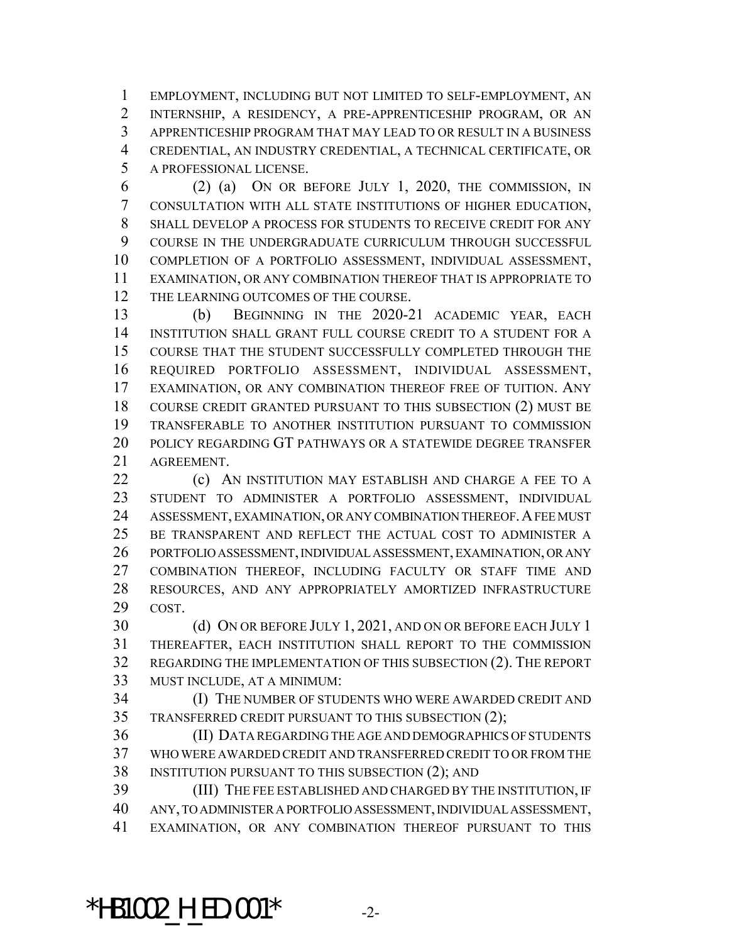EMPLOYMENT, INCLUDING BUT NOT LIMITED TO SELF-EMPLOYMENT, AN INTERNSHIP, A RESIDENCY, A PRE-APPRENTICESHIP PROGRAM, OR AN APPRENTICESHIP PROGRAM THAT MAY LEAD TO OR RESULT IN A BUSINESS CREDENTIAL, AN INDUSTRY CREDENTIAL, A TECHNICAL CERTIFICATE, OR A PROFESSIONAL LICENSE.

 (2) (a) ON OR BEFORE JULY 1, 2020, THE COMMISSION, IN CONSULTATION WITH ALL STATE INSTITUTIONS OF HIGHER EDUCATION, SHALL DEVELOP A PROCESS FOR STUDENTS TO RECEIVE CREDIT FOR ANY COURSE IN THE UNDERGRADUATE CURRICULUM THROUGH SUCCESSFUL COMPLETION OF A PORTFOLIO ASSESSMENT, INDIVIDUAL ASSESSMENT, EXAMINATION, OR ANY COMBINATION THEREOF THAT IS APPROPRIATE TO 12 THE LEARNING OUTCOMES OF THE COURSE.

 (b) BEGINNING IN THE 2020-21 ACADEMIC YEAR, EACH INSTITUTION SHALL GRANT FULL COURSE CREDIT TO A STUDENT FOR A COURSE THAT THE STUDENT SUCCESSFULLY COMPLETED THROUGH THE REQUIRED PORTFOLIO ASSESSMENT, INDIVIDUAL ASSESSMENT, EXAMINATION, OR ANY COMBINATION THEREOF FREE OF TUITION. ANY COURSE CREDIT GRANTED PURSUANT TO THIS SUBSECTION (2) MUST BE TRANSFERABLE TO ANOTHER INSTITUTION PURSUANT TO COMMISSION POLICY REGARDING GT PATHWAYS OR A STATEWIDE DEGREE TRANSFER AGREEMENT.

**(c)** AN INSTITUTION MAY ESTABLISH AND CHARGE A FEE TO A STUDENT TO ADMINISTER A PORTFOLIO ASSESSMENT, INDIVIDUAL 24 ASSESSMENT, EXAMINATION, OR ANY COMBINATION THEREOF. A FEE MUST BE TRANSPARENT AND REFLECT THE ACTUAL COST TO ADMINISTER A PORTFOLIO ASSESSMENT, INDIVIDUAL ASSESSMENT, EXAMINATION, OR ANY COMBINATION THEREOF, INCLUDING FACULTY OR STAFF TIME AND RESOURCES, AND ANY APPROPRIATELY AMORTIZED INFRASTRUCTURE COST.

30 (d) ON OR BEFORE JULY 1, 2021, AND ON OR BEFORE EACH JULY 1 THEREAFTER, EACH INSTITUTION SHALL REPORT TO THE COMMISSION REGARDING THE IMPLEMENTATION OF THIS SUBSECTION (2). THE REPORT MUST INCLUDE, AT A MINIMUM:

 (I) THE NUMBER OF STUDENTS WHO WERE AWARDED CREDIT AND TRANSFERRED CREDIT PURSUANT TO THIS SUBSECTION (2);

 (II) DATA REGARDING THE AGE AND DEMOGRAPHICS OF STUDENTS WHO WERE AWARDED CREDIT AND TRANSFERRED CREDIT TO OR FROM THE INSTITUTION PURSUANT TO THIS SUBSECTION (2); AND

 (III) THE FEE ESTABLISHED AND CHARGED BY THE INSTITUTION, IF ANY, TO ADMINISTER A PORTFOLIO ASSESSMENT, INDIVIDUAL ASSESSMENT, EXAMINATION, OR ANY COMBINATION THEREOF PURSUANT TO THIS

\*HB1002 H ED.001\*  $-2$ -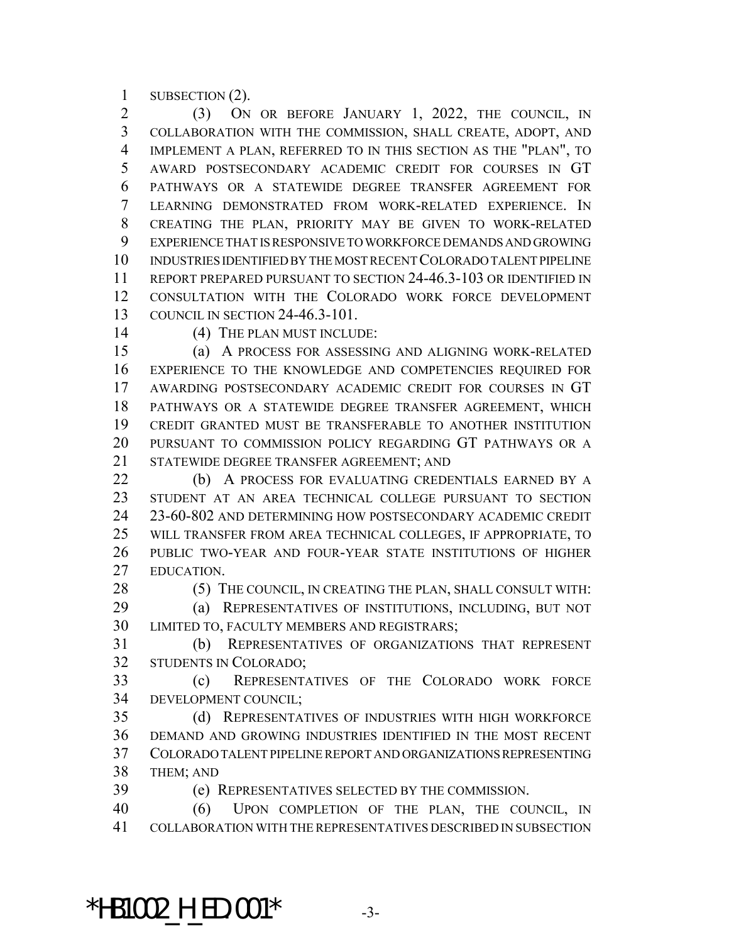SUBSECTION (2).

 (3) ON OR BEFORE JANUARY 1, 2022, THE COUNCIL, IN COLLABORATION WITH THE COMMISSION, SHALL CREATE, ADOPT, AND IMPLEMENT A PLAN, REFERRED TO IN THIS SECTION AS THE "PLAN", TO AWARD POSTSECONDARY ACADEMIC CREDIT FOR COURSES IN GT PATHWAYS OR A STATEWIDE DEGREE TRANSFER AGREEMENT FOR LEARNING DEMONSTRATED FROM WORK-RELATED EXPERIENCE. IN CREATING THE PLAN, PRIORITY MAY BE GIVEN TO WORK-RELATED EXPERIENCE THAT IS RESPONSIVE TO WORKFORCE DEMANDS AND GROWING INDUSTRIES IDENTIFIED BY THE MOST RECENT COLORADO TALENT PIPELINE REPORT PREPARED PURSUANT TO SECTION 24-46.3-103 OR IDENTIFIED IN CONSULTATION WITH THE COLORADO WORK FORCE DEVELOPMENT COUNCIL IN SECTION 24-46.3-101.

14 (4) THE PLAN MUST INCLUDE:

 (a) A PROCESS FOR ASSESSING AND ALIGNING WORK-RELATED EXPERIENCE TO THE KNOWLEDGE AND COMPETENCIES REQUIRED FOR AWARDING POSTSECONDARY ACADEMIC CREDIT FOR COURSES IN GT PATHWAYS OR A STATEWIDE DEGREE TRANSFER AGREEMENT, WHICH CREDIT GRANTED MUST BE TRANSFERABLE TO ANOTHER INSTITUTION PURSUANT TO COMMISSION POLICY REGARDING GT PATHWAYS OR A STATEWIDE DEGREE TRANSFER AGREEMENT; AND

22 (b) A PROCESS FOR EVALUATING CREDENTIALS EARNED BY A STUDENT AT AN AREA TECHNICAL COLLEGE PURSUANT TO SECTION 23-60-802 AND DETERMINING HOW POSTSECONDARY ACADEMIC CREDIT WILL TRANSFER FROM AREA TECHNICAL COLLEGES, IF APPROPRIATE, TO PUBLIC TWO-YEAR AND FOUR-YEAR STATE INSTITUTIONS OF HIGHER EDUCATION.

28 (5) THE COUNCIL, IN CREATING THE PLAN, SHALL CONSULT WITH:

 (a) REPRESENTATIVES OF INSTITUTIONS, INCLUDING, BUT NOT LIMITED TO, FACULTY MEMBERS AND REGISTRARS;

 (b) REPRESENTATIVES OF ORGANIZATIONS THAT REPRESENT STUDENTS IN COLORADO;

 (c) REPRESENTATIVES OF THE COLORADO WORK FORCE DEVELOPMENT COUNCIL;

 (d) REPRESENTATIVES OF INDUSTRIES WITH HIGH WORKFORCE DEMAND AND GROWING INDUSTRIES IDENTIFIED IN THE MOST RECENT COLORADO TALENT PIPELINE REPORT AND ORGANIZATIONS REPRESENTING THEM; AND

(e) REPRESENTATIVES SELECTED BY THE COMMISSION.

 (6) UPON COMPLETION OF THE PLAN, THE COUNCIL, IN COLLABORATION WITH THE REPRESENTATIVES DESCRIBED IN SUBSECTION

\*HB1002 H ED.001\*  $-3$ -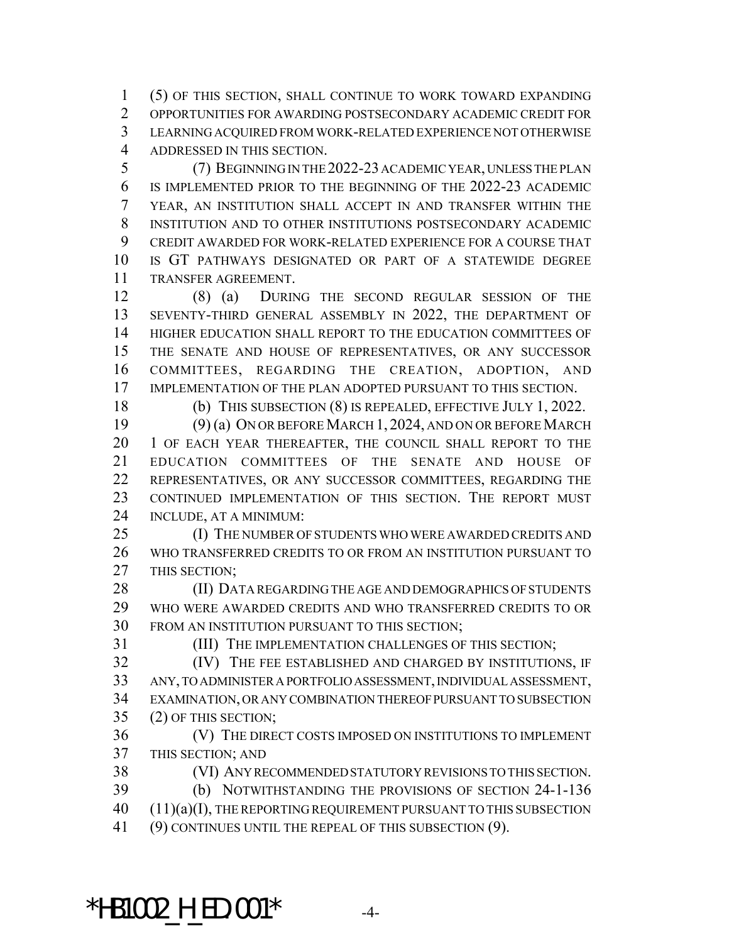(5) OF THIS SECTION, SHALL CONTINUE TO WORK TOWARD EXPANDING OPPORTUNITIES FOR AWARDING POSTSECONDARY ACADEMIC CREDIT FOR LEARNING ACQUIRED FROM WORK-RELATED EXPERIENCE NOT OTHERWISE ADDRESSED IN THIS SECTION.

 (7) BEGINNING IN THE 2022-23 ACADEMIC YEAR, UNLESS THE PLAN IS IMPLEMENTED PRIOR TO THE BEGINNING OF THE 2022-23 ACADEMIC YEAR, AN INSTITUTION SHALL ACCEPT IN AND TRANSFER WITHIN THE INSTITUTION AND TO OTHER INSTITUTIONS POSTSECONDARY ACADEMIC CREDIT AWARDED FOR WORK-RELATED EXPERIENCE FOR A COURSE THAT IS GT PATHWAYS DESIGNATED OR PART OF A STATEWIDE DEGREE TRANSFER AGREEMENT.

 (8) (a) DURING THE SECOND REGULAR SESSION OF THE SEVENTY-THIRD GENERAL ASSEMBLY IN 2022, THE DEPARTMENT OF HIGHER EDUCATION SHALL REPORT TO THE EDUCATION COMMITTEES OF THE SENATE AND HOUSE OF REPRESENTATIVES, OR ANY SUCCESSOR COMMITTEES, REGARDING THE CREATION, ADOPTION, AND IMPLEMENTATION OF THE PLAN ADOPTED PURSUANT TO THIS SECTION.

(b) THIS SUBSECTION (8) IS REPEALED, EFFECTIVE JULY 1, 2022.

 (9) (a) ON OR BEFORE MARCH 1, 2024, AND ON OR BEFORE MARCH 1 OF EACH YEAR THEREAFTER, THE COUNCIL SHALL REPORT TO THE EDUCATION COMMITTEES OF THE SENATE AND HOUSE OF REPRESENTATIVES, OR ANY SUCCESSOR COMMITTEES, REGARDING THE CONTINUED IMPLEMENTATION OF THIS SECTION. THE REPORT MUST INCLUDE, AT A MINIMUM:

25 (I) THE NUMBER OF STUDENTS WHO WERE AWARDED CREDITS AND WHO TRANSFERRED CREDITS TO OR FROM AN INSTITUTION PURSUANT TO THIS SECTION;

28 (II) DATA REGARDING THE AGE AND DEMOGRAPHICS OF STUDENTS WHO WERE AWARDED CREDITS AND WHO TRANSFERRED CREDITS TO OR FROM AN INSTITUTION PURSUANT TO THIS SECTION;

(III) THE IMPLEMENTATION CHALLENGES OF THIS SECTION;

 (IV) THE FEE ESTABLISHED AND CHARGED BY INSTITUTIONS, IF ANY, TO ADMINISTER A PORTFOLIO ASSESSMENT, INDIVIDUAL ASSESSMENT, EXAMINATION, OR ANY COMBINATION THEREOF PURSUANT TO SUBSECTION (2) OF THIS SECTION;

 (V) THE DIRECT COSTS IMPOSED ON INSTITUTIONS TO IMPLEMENT THIS SECTION; AND

 (VI) ANY RECOMMENDED STATUTORY REVISIONS TO THIS SECTION. (b) NOTWITHSTANDING THE PROVISIONS OF SECTION 24-1-136 40 (11)(a)(I), THE REPORTING REQUIREMENT PURSUANT TO THIS SUBSECTION (9) CONTINUES UNTIL THE REPEAL OF THIS SUBSECTION (9).

\*HB1002 H ED.001\*  $-4$